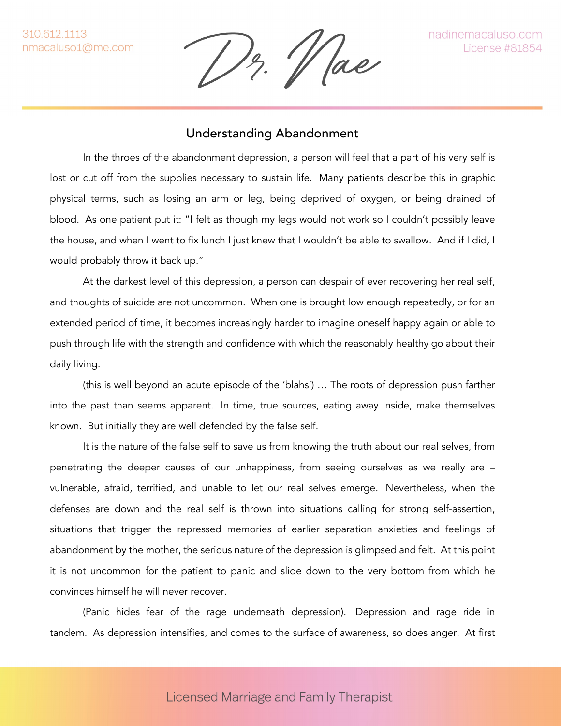'/ ae

## Understanding Abandonment

In the throes of the abandonment depression, a person will feel that a part of his very self is lost or cut off from the supplies necessary to sustain life. Many patients describe this in graphic physical terms, such as losing an arm or leg, being deprived of oxygen, or being drained of blood. As one patient put it: "I felt as though my legs would not work so I couldn't possibly leave the house, and when I went to fix lunch I just knew that I wouldn't be able to swallow. And if I did, I would probably throw it back up."

At the darkest level of this depression, a person can despair of ever recovering her real self, and thoughts of suicide are not uncommon. When one is brought low enough repeatedly, or for an extended period of time, it becomes increasingly harder to imagine oneself happy again or able to push through life with the strength and confidence with which the reasonably healthy go about their daily living.

(this is well beyond an acute episode of the 'blahs') … The roots of depression push farther into the past than seems apparent. In time, true sources, eating away inside, make themselves known. But initially they are well defended by the false self.

It is the nature of the false self to save us from knowing the truth about our real selves, from penetrating the deeper causes of our unhappiness, from seeing ourselves as we really are – vulnerable, afraid, terrified, and unable to let our real selves emerge. Nevertheless, when the defenses are down and the real self is thrown into situations calling for strong self-assertion, situations that trigger the repressed memories of earlier separation anxieties and feelings of abandonment by the mother, the serious nature of the depression is glimpsed and felt. At this point it is not uncommon for the patient to panic and slide down to the very bottom from which he convinces himself he will never recover.

(Panic hides fear of the rage underneath depression). Depression and rage ride in tandem. As depression intensifies, and comes to the surface of awareness, so does anger. At first